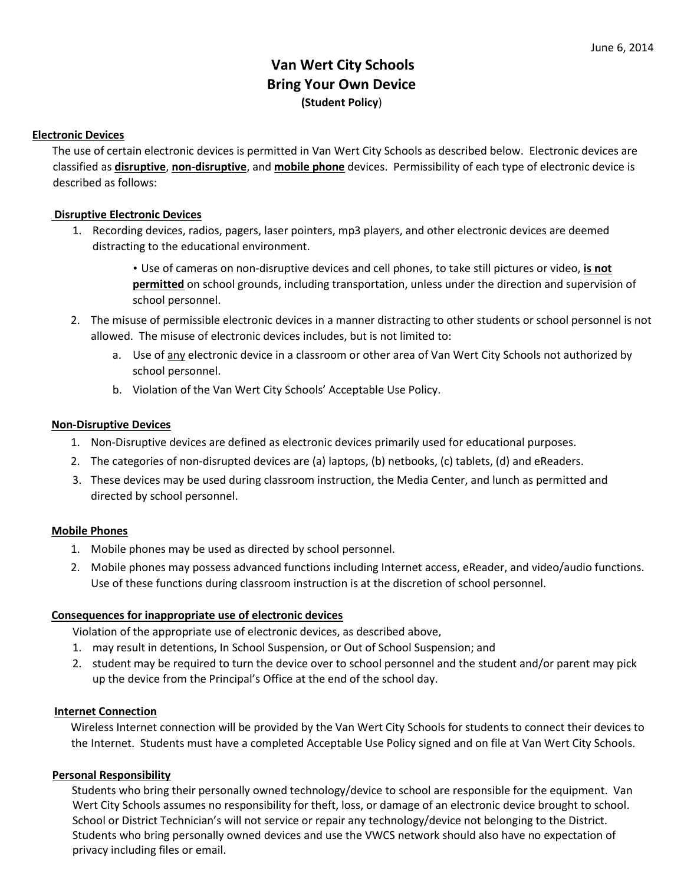# **Van Wert City Schools Bring Your Own Device (Student Policy**)

## **Electronic Devices**

The use of certain electronic devices is permitted in Van Wert City Schools as described below. Electronic devices are classified as **disruptive**, **non‐disruptive**, and **mobile phone** devices. Permissibility of each type of electronic device is described as follows:

# **Disruptive Electronic Devices**

1. Recording devices, radios, pagers, laser pointers, mp3 players, and other electronic devices are deemed distracting to the educational environment.

> • Use of cameras on non‐disruptive devices and cell phones, to take still pictures or video, **is not permitted** on school grounds, including transportation, unless under the direction and supervision of school personnel.

- 2. The misuse of permissible electronic devices in a manner distracting to other students or school personnel is not allowed. The misuse of electronic devices includes, but is not limited to:
	- a. Use of any electronic device in a classroom or other area of Van Wert City Schools not authorized by school personnel.
	- b. Violation of the Van Wert City Schools' Acceptable Use Policy.

## **Non‐Disruptive Devices**

- 1. Non‐Disruptive devices are defined as electronic devices primarily used for educational purposes.
- 2. The categories of non-disrupted devices are (a) laptops, (b) netbooks, (c) tablets, (d) and eReaders.
- 3. These devices may be used during classroom instruction, the Media Center, and lunch as permitted and directed by school personnel.

#### **Mobile Phones**

- 1. Mobile phones may be used as directed by school personnel.
- 2. Mobile phones may possess advanced functions including Internet access, eReader, and video/audio functions. Use of these functions during classroom instruction is at the discretion of school personnel.

#### **Consequences for inappropriate use of electronic devices**

Violation of the appropriate use of electronic devices, as described above,

- 1. may result in detentions, In School Suspension, or Out of School Suspension; and
- 2. student may be required to turn the device over to school personnel and the student and/or parent may pick up the device from the Principal's Office at the end of the school day.

#### **Internet Connection**

Wireless Internet connection will be provided by the Van Wert City Schools for students to connect their devices to the Internet. Students must have a completed Acceptable Use Policy signed and on file at Van Wert City Schools.

#### **Personal Responsibility**

Students who bring their personally owned technology/device to school are responsible for the equipment. Van Wert City Schools assumes no responsibility for theft, loss, or damage of an electronic device brought to school. School or District Technician's will not service or repair any technology/device not belonging to the District. Students who bring personally owned devices and use the VWCS network should also have no expectation of privacy including files or email.